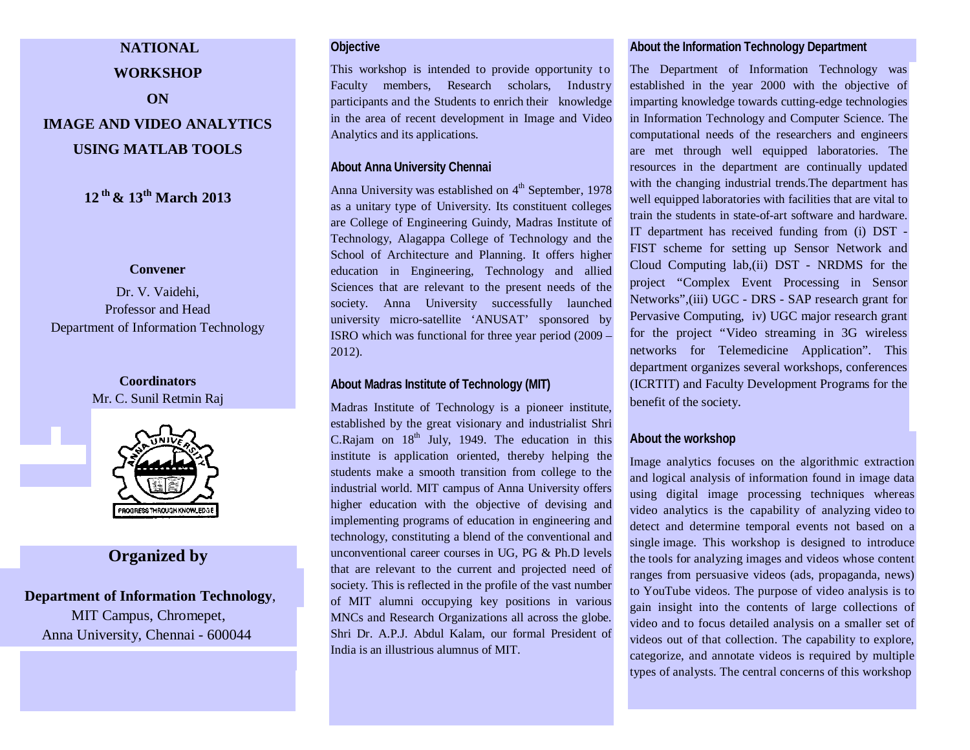# **NATIONAL WORKSHOP ON IMAGE AND VIDEO ANALYTICS USING MATLAB TOOLS**

**12 th & 13th March 2013**

#### **Convener**

Dr. V. Vaidehi, Professor and Head Department of Information Technology

# **Coordinators** Mr. C. Sunil Retmin Raj



# **Organized by**

# **Department of Information Technology**, MIT Campus, Chromepet, Anna University, Chennai - 600044

#### **Objective**

This workshop is intended to provide opportunity to Faculty members, Research scholars, Industry participants and the Students to enrich their knowledge in the area of recent development in Image and Video Analytics and its applications.

#### **About Anna University Chennai**

Anna University was established on  $4<sup>th</sup>$  September, 1978 as a unitary type of University. Its constituent colleges are College of Engineering Guindy, Madras Institute of Technology, Alagappa College of Technology and the School of Architecture and Planning. It offers higher education in Engineering, Technology and allied Sciences that are relevant to the present needs of the society. Anna University successfully launched university micro-satellite 'ANUSAT' sponsored by ISRO which was functional for three year period (2009 – 2012).

#### **About Madras Institute of Technology (MIT)**

Madras Institute of Technology is a pioneer institute, established by the great visionary and industrialist Shri C.Rajam on  $18<sup>th</sup>$  July, 1949. The education in this institute is application oriented, thereby helping the students make a smooth transition from college to the industrial world. MIT campus of Anna University offers higher education with the objective of devising and implementing programs of education in engineering and technology, constituting a blend of the conventional and unconventional career courses in UG, PG & Ph.D levels that are relevant to the current and projected need of society. This is reflected in the profile of the vast number of MIT alumni occupying key positions in various MNCs and Research Organizations all across the globe. Shri Dr. A.P.J. Abdul Kalam, our formal President of India is an illustrious alumnus of MIT.

#### **About the Information Technology Department**

The Department of Information Technology was established in the year 2000 with the objective of imparting knowledge towards cutting-edge technologies in Information Technology and Computer Science. The computational needs of the researchers and engineers are met through well equipped laboratories. The resources in the department are continually updated with the changing industrial trends.The department has well equipped laboratories with facilities that are vital to train the students in state-of-art software and hardware. IT department has received funding from (i) DST - FIST scheme for setting up Sensor Network and Cloud Computing lab,(ii) DST - NRDMS for the project "Complex Event Processing in Sensor Networks",(iii) UGC - DRS - SAP research grant for Pervasive Computing, iv) UGC major research grant for the project "Video streaming in 3G wireless networks for Telemedicine Application". This department organizes several workshops, conferences (ICRTIT) and Faculty Development Programs for the benefit of the society.

#### **About the workshop**

Image analytics focuses on the algorithmic extraction and logical analysis of information found in image data using digital image processing techniques whereas video analytics is the capability of analyzing video to detect and determine temporal events not based on a single image. This workshop is designed to introduce the tools for analyzing images and videos whose content ranges from persuasive videos (ads, propaganda, news) to YouTube videos. The purpose of video analysis is to gain insight into the contents of large collections of video and to focus detailed analysis on a smaller set of videos out of that collection. The capability to explore, categorize, and annotate videos is required by multiple types of analysts. The central concerns of this workshop